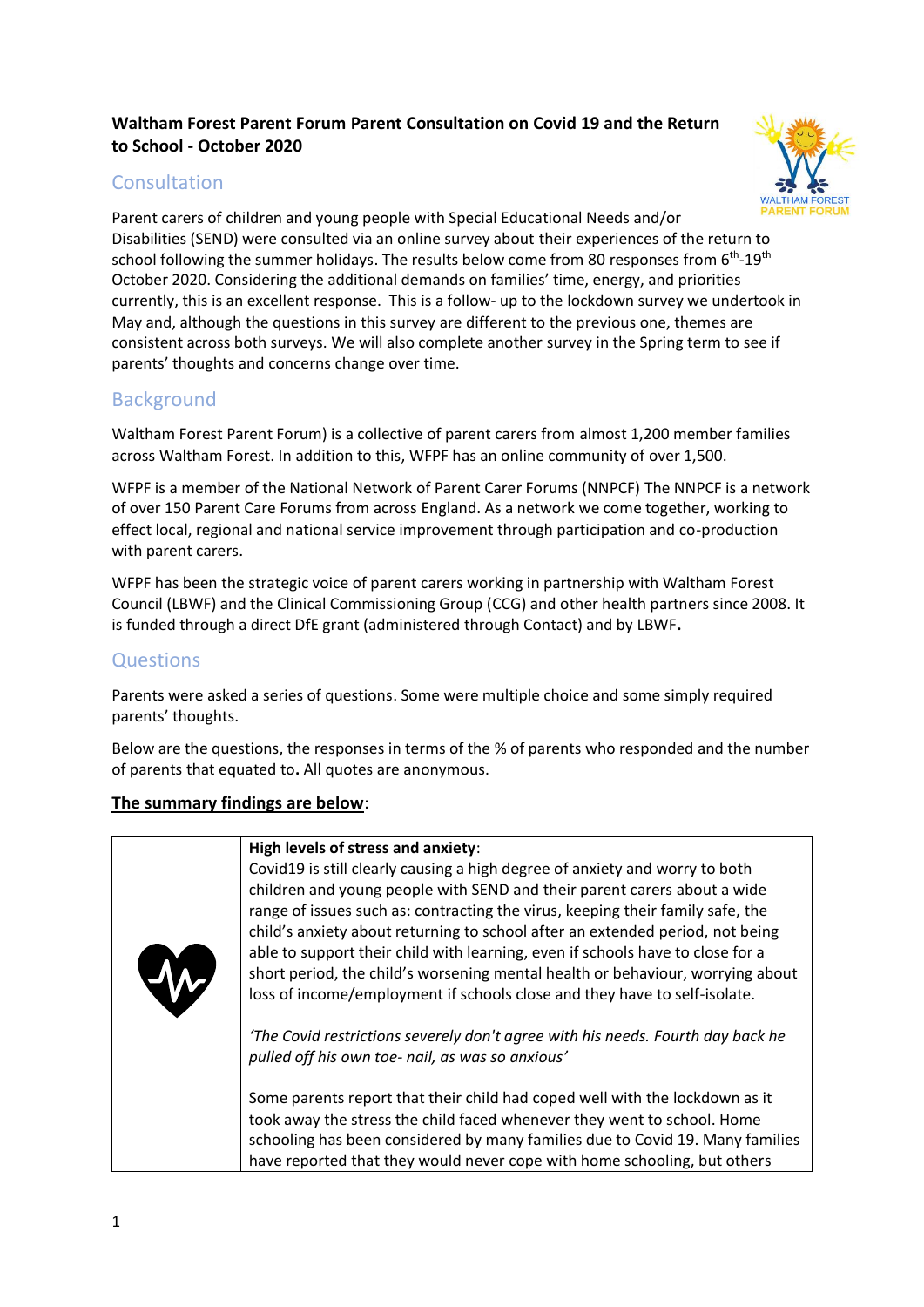# **Waltham Forest Parent Forum Parent Consultation on Covid 19 and the Return to School - October 2020**

# **Consultation**



Parent carers of children and young people with Special Educational Needs and/or Disabilities (SEND) were consulted via an online survey about their experiences of the return to school following the summer holidays. The results below come from 80 responses from 6<sup>th</sup>-19<sup>th</sup> October 2020. Considering the additional demands on families' time, energy, and priorities currently, this is an excellent response. This is a follow- up to the lockdown survey we undertook in May and, although the questions in this survey are different to the previous one, themes are consistent across both surveys. We will also complete another survey in the Spring term to see if parents' thoughts and concerns change over time.

# Background

Waltham Forest Parent Forum) is a collective of parent carers from almost 1,200 member families across Waltham Forest. In addition to this, WFPF has an online community of over 1,500.

WFPF is a member of the National Network of Parent Carer Forums (NNPCF) The NNPCF is a network of over 150 Parent Care Forums from across England. As a network we come together, working to effect local, regional and national service improvement through participation and co-production with parent carers.

WFPF has been the strategic voice of parent carers working in partnership with Waltham Forest Council (LBWF) and the Clinical Commissioning Group (CCG) and other health partners since 2008. It is funded through a direct DfE grant (administered through Contact) and by LBWF**.**

# **Questions**

Parents were asked a series of questions. Some were multiple choice and some simply required parents' thoughts.

Below are the questions, the responses in terms of the % of parents who responded and the number of parents that equated to**.** All quotes are anonymous.

## **The summary findings are below**: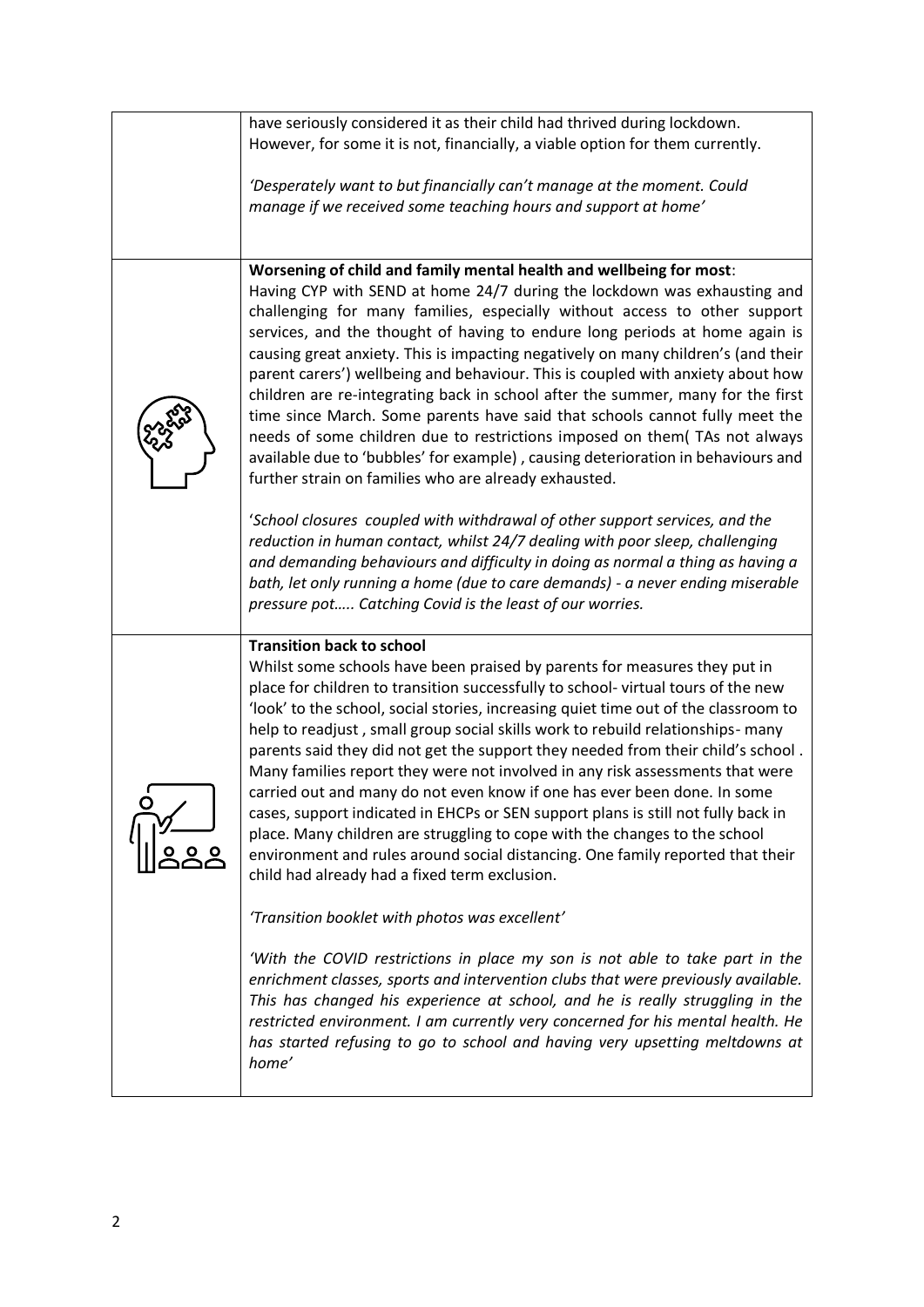| have seriously considered it as their child had thrived during lockdown.                                                                                                                                                                                                                                                                                                                                                                                                                                                                                                                                                                                                                                                                                                                                                                                                                                                           |
|------------------------------------------------------------------------------------------------------------------------------------------------------------------------------------------------------------------------------------------------------------------------------------------------------------------------------------------------------------------------------------------------------------------------------------------------------------------------------------------------------------------------------------------------------------------------------------------------------------------------------------------------------------------------------------------------------------------------------------------------------------------------------------------------------------------------------------------------------------------------------------------------------------------------------------|
| However, for some it is not, financially, a viable option for them currently.                                                                                                                                                                                                                                                                                                                                                                                                                                                                                                                                                                                                                                                                                                                                                                                                                                                      |
| 'Desperately want to but financially can't manage at the moment. Could<br>manage if we received some teaching hours and support at home'                                                                                                                                                                                                                                                                                                                                                                                                                                                                                                                                                                                                                                                                                                                                                                                           |
| Worsening of child and family mental health and wellbeing for most:<br>Having CYP with SEND at home 24/7 during the lockdown was exhausting and<br>challenging for many families, especially without access to other support<br>services, and the thought of having to endure long periods at home again is<br>causing great anxiety. This is impacting negatively on many children's (and their<br>parent carers') wellbeing and behaviour. This is coupled with anxiety about how<br>children are re-integrating back in school after the summer, many for the first<br>time since March. Some parents have said that schools cannot fully meet the<br>needs of some children due to restrictions imposed on them( TAs not always<br>available due to 'bubbles' for example), causing deterioration in behaviours and<br>further strain on families who are already exhausted.                                                   |
| 'School closures coupled with withdrawal of other support services, and the<br>reduction in human contact, whilst 24/7 dealing with poor sleep, challenging<br>and demanding behaviours and difficulty in doing as normal a thing as having a<br>bath, let only running a home (due to care demands) - a never ending miserable<br>pressure pot Catching Covid is the least of our worries.                                                                                                                                                                                                                                                                                                                                                                                                                                                                                                                                        |
| <b>Transition back to school</b><br>Whilst some schools have been praised by parents for measures they put in<br>place for children to transition successfully to school-virtual tours of the new<br>'look' to the school, social stories, increasing quiet time out of the classroom to<br>help to readjust, small group social skills work to rebuild relationships- many<br>parents said they did not get the support they needed from their child's school.<br>Many families report they were not involved in any risk assessments that were<br>carried out and many do not even know if one has ever been done. In some<br>cases, support indicated in EHCPs or SEN support plans is still not fully back in<br>place. Many children are struggling to cope with the changes to the school<br>environment and rules around social distancing. One family reported that their<br>child had already had a fixed term exclusion. |
| 'Transition booklet with photos was excellent'                                                                                                                                                                                                                                                                                                                                                                                                                                                                                                                                                                                                                                                                                                                                                                                                                                                                                     |
| 'With the COVID restrictions in place my son is not able to take part in the<br>enrichment classes, sports and intervention clubs that were previously available.<br>This has changed his experience at school, and he is really struggling in the<br>restricted environment. I am currently very concerned for his mental health. He<br>has started refusing to go to school and having very upsetting meltdowns at<br>home'                                                                                                                                                                                                                                                                                                                                                                                                                                                                                                      |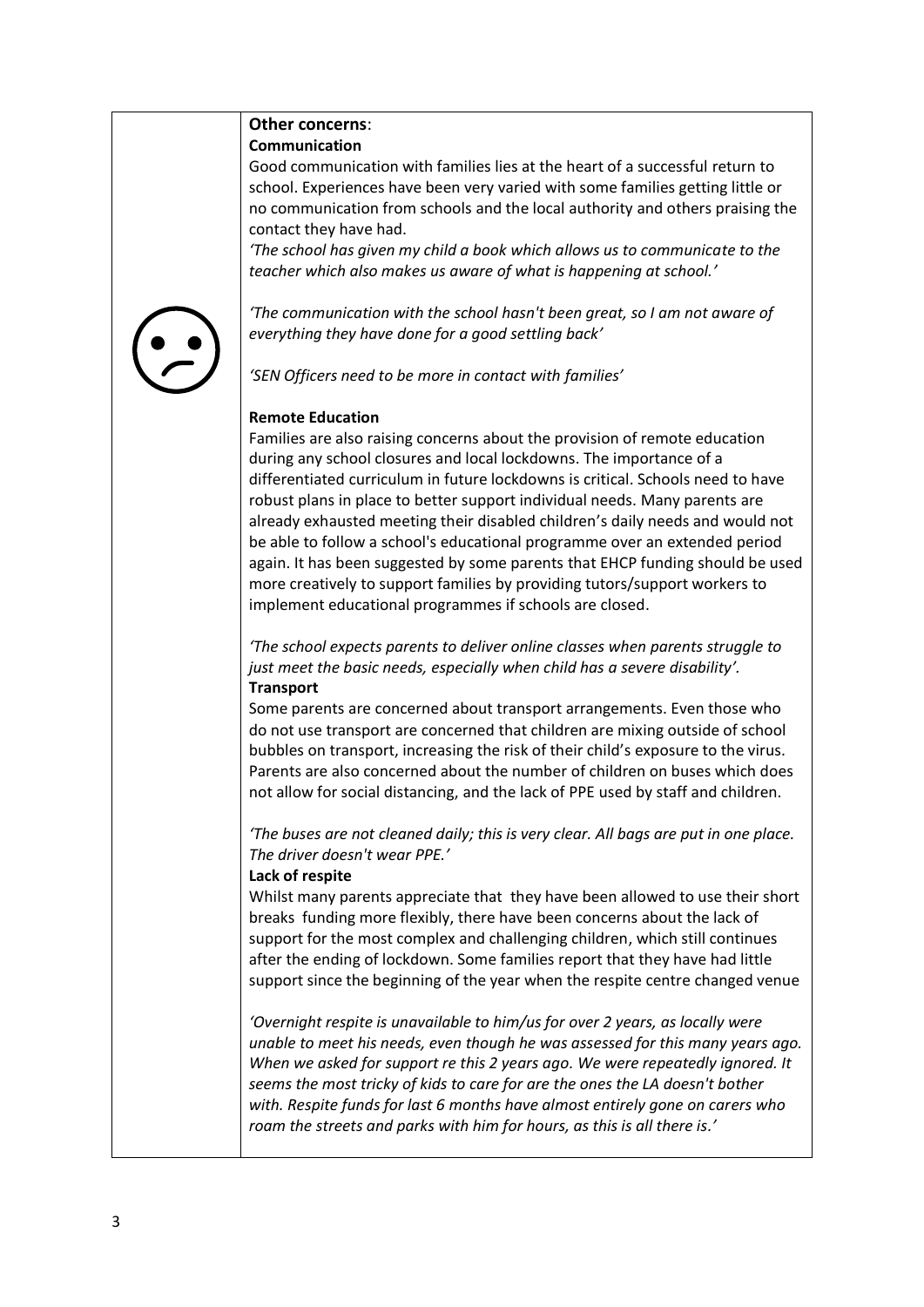#### **Other concerns**: **Communication**

Good communication with families lies at the heart of a successful return to school. Experiences have been very varied with some families getting little or no communication from schools and the local authority and others praising the contact they have had.

*'The school has given my child a book which allows us to communicate to the teacher which also makes us aware of what is happening at school.'*

*'The communication with the school hasn't been great, so I am not aware of everything they have done for a good settling back'*

*'SEN Officers need to be more in contact with families'*

## **Remote Education**

Families are also raising concerns about the provision of remote education during any school closures and local lockdowns. The importance of a differentiated curriculum in future lockdowns is critical. Schools need to have robust plans in place to better support individual needs. Many parents are already exhausted meeting their disabled children's daily needs and would not be able to follow a school's educational programme over an extended period again. It has been suggested by some parents that EHCP funding should be used more creatively to support families by providing tutors/support workers to implement educational programmes if schools are closed.

*'The school expects parents to deliver online classes when parents struggle to just meet the basic needs, especially when child has a severe disability'.*  **Transport**

Some parents are concerned about transport arrangements. Even those who do not use transport are concerned that children are mixing outside of school bubbles on transport, increasing the risk of their child's exposure to the virus. Parents are also concerned about the number of children on buses which does not allow for social distancing, and the lack of PPE used by staff and children.

*'The buses are not cleaned daily; this is very clear. All bags are put in one place. The driver doesn't wear PPE.'*

## **Lack of respite**

Whilst many parents appreciate that they have been allowed to use their short breaks funding more flexibly, there have been concerns about the lack of support for the most complex and challenging children, which still continues after the ending of lockdown. Some families report that they have had little support since the beginning of the year when the respite centre changed venue

*'Overnight respite is unavailable to him/us for over 2 years, as locally were unable to meet his needs, even though he was assessed for this many years ago. When we asked for support re this 2 years ago. We were repeatedly ignored. It seems the most tricky of kids to care for are the ones the LA doesn't bother with. Respite funds for last 6 months have almost entirely gone on carers who roam the streets and parks with him for hours, as this is all there is.'*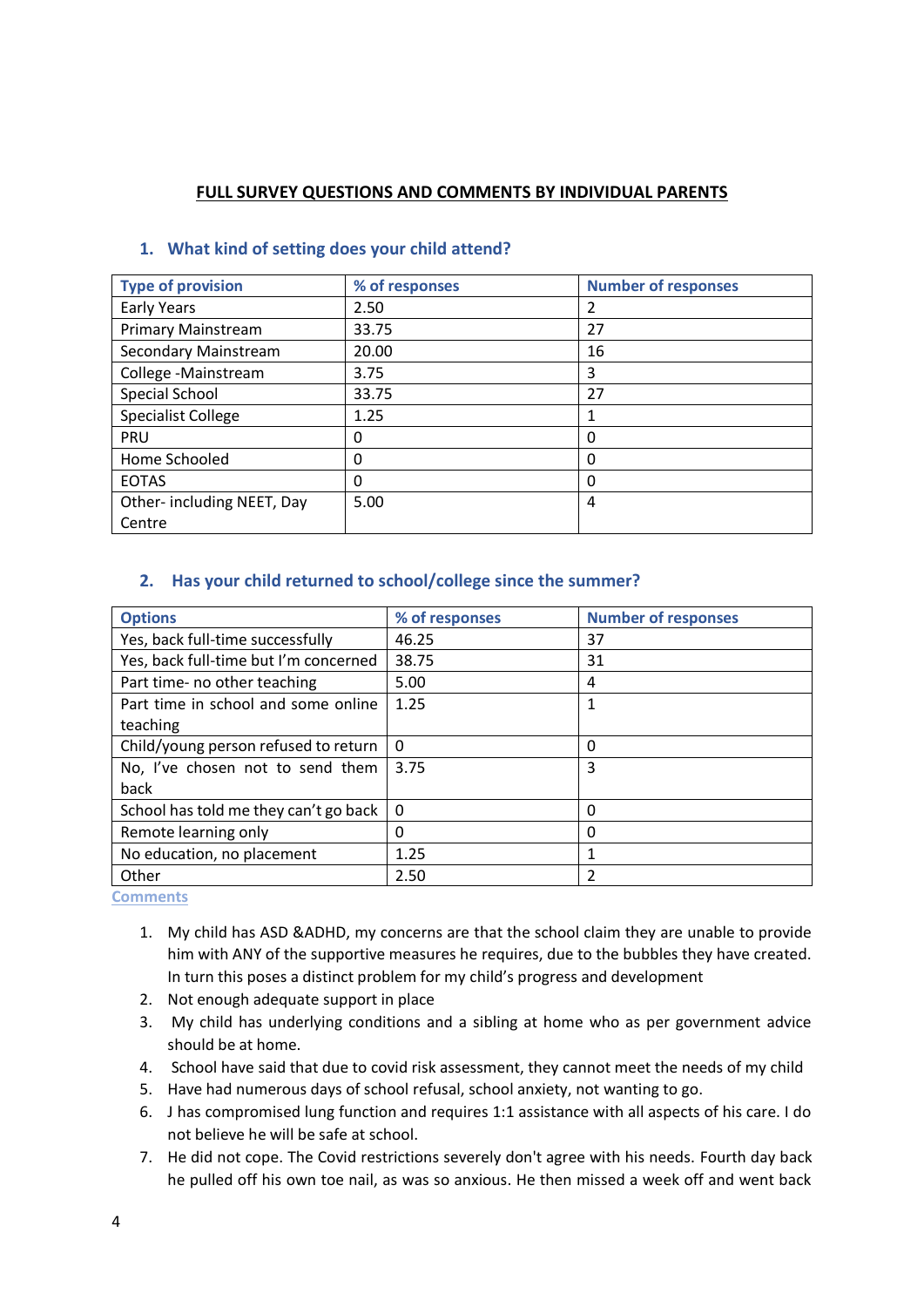### **FULL SURVEY QUESTIONS AND COMMENTS BY INDIVIDUAL PARENTS**

| <b>Type of provision</b>   | % of responses | <b>Number of responses</b> |
|----------------------------|----------------|----------------------------|
| <b>Early Years</b>         | 2.50           | 2                          |
| <b>Primary Mainstream</b>  | 33.75          | 27                         |
| Secondary Mainstream       | 20.00          | 16                         |
| College -Mainstream        | 3.75           | 3                          |
| Special School             | 33.75          | 27                         |
| <b>Specialist College</b>  | 1.25           |                            |
| PRU                        | 0              | 0                          |
| Home Schooled              | 0              | 0                          |
| <b>EOTAS</b>               | 0              | 0                          |
| Other- including NEET, Day | 5.00           | 4                          |
| Centre                     |                |                            |

#### **1. What kind of setting does your child attend?**

#### **2. Has your child returned to school/college since the summer?**

| <b>Options</b>                        | % of responses | <b>Number of responses</b> |
|---------------------------------------|----------------|----------------------------|
| Yes, back full-time successfully      | 46.25          | 37                         |
| Yes, back full-time but I'm concerned | 38.75          | 31                         |
| Part time- no other teaching          | 5.00           | 4                          |
| Part time in school and some online   | 1.25           |                            |
| teaching                              |                |                            |
| Child/young person refused to return  | 0              | 0                          |
| No, I've chosen not to send them      | 3.75           | 3                          |
| back                                  |                |                            |
| School has told me they can't go back | 0              | 0                          |
| Remote learning only                  | 0              | 0                          |
| No education, no placement            | 1.25           |                            |
| Other                                 | 2.50           | 2                          |

- 1. My child has ASD &ADHD, my concerns are that the school claim they are unable to provide him with ANY of the supportive measures he requires, due to the bubbles they have created. In turn this poses a distinct problem for my child's progress and development
- 2. Not enough adequate support in place
- 3. My child has underlying conditions and a sibling at home who as per government advice should be at home.
- 4. School have said that due to covid risk assessment, they cannot meet the needs of my child
- 5. Have had numerous days of school refusal, school anxiety, not wanting to go.
- 6. J has compromised lung function and requires 1:1 assistance with all aspects of his care. I do not believe he will be safe at school.
- 7. He did not cope. The Covid restrictions severely don't agree with his needs. Fourth day back he pulled off his own toe nail, as was so anxious. He then missed a week off and went back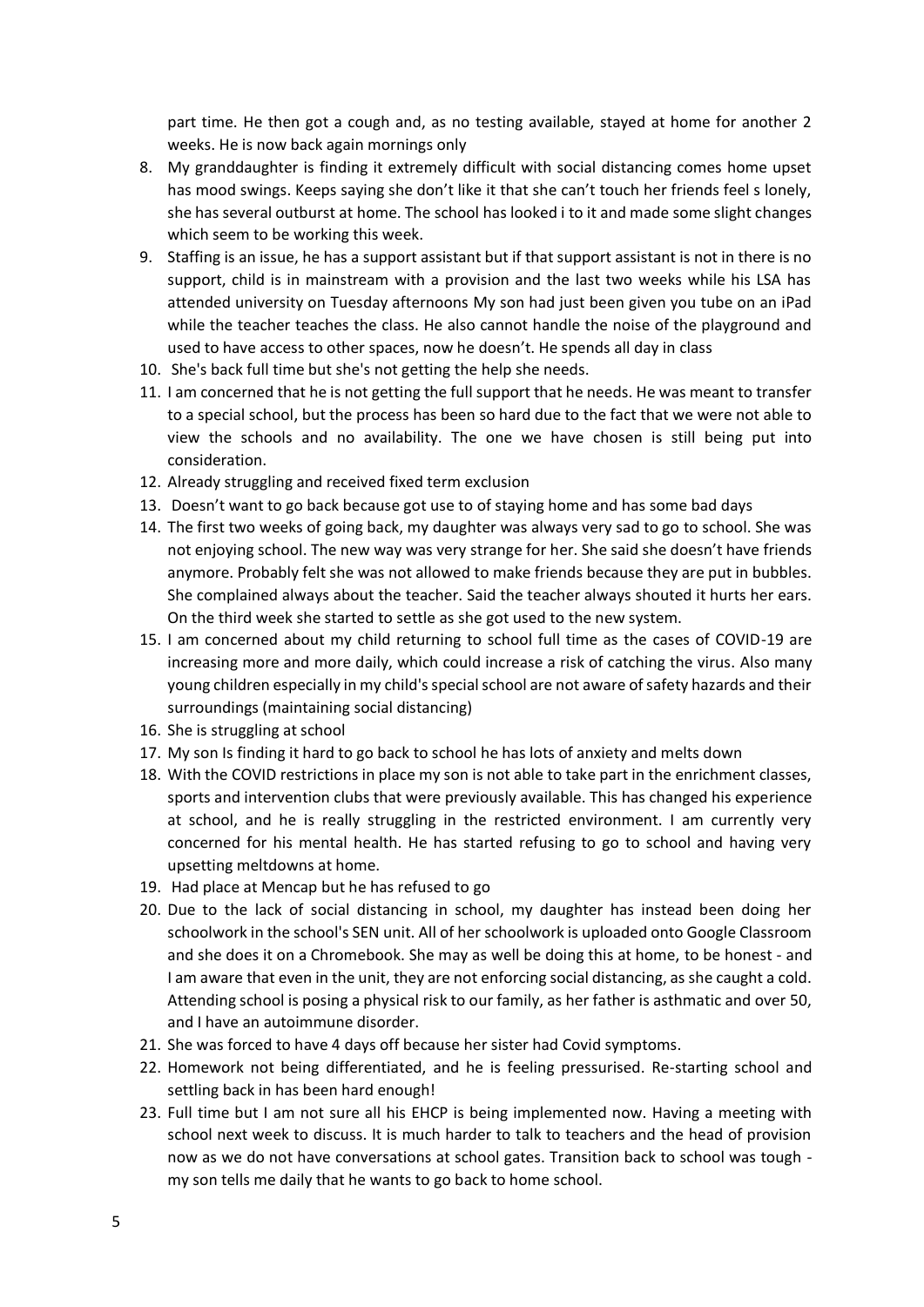part time. He then got a cough and, as no testing available, stayed at home for another 2 weeks. He is now back again mornings only

- 8. My granddaughter is finding it extremely difficult with social distancing comes home upset has mood swings. Keeps saying she don't like it that she can't touch her friends feel s lonely, she has several outburst at home. The school has looked i to it and made some slight changes which seem to be working this week.
- 9. Staffing is an issue, he has a support assistant but if that support assistant is not in there is no support, child is in mainstream with a provision and the last two weeks while his LSA has attended university on Tuesday afternoons My son had just been given you tube on an iPad while the teacher teaches the class. He also cannot handle the noise of the playground and used to have access to other spaces, now he doesn't. He spends all day in class
- 10. She's back full time but she's not getting the help she needs.
- 11. I am concerned that he is not getting the full support that he needs. He was meant to transfer to a special school, but the process has been so hard due to the fact that we were not able to view the schools and no availability. The one we have chosen is still being put into consideration.
- 12. Already struggling and received fixed term exclusion
- 13. Doesn't want to go back because got use to of staying home and has some bad days
- 14. The first two weeks of going back, my daughter was always very sad to go to school. She was not enjoying school. The new way was very strange for her. She said she doesn't have friends anymore. Probably felt she was not allowed to make friends because they are put in bubbles. She complained always about the teacher. Said the teacher always shouted it hurts her ears. On the third week she started to settle as she got used to the new system.
- 15. I am concerned about my child returning to school full time as the cases of COVID-19 are increasing more and more daily, which could increase a risk of catching the virus. Also many young children especially in my child's special school are not aware of safety hazards and their surroundings (maintaining social distancing)
- 16. She is struggling at school
- 17. My son Is finding it hard to go back to school he has lots of anxiety and melts down
- 18. With the COVID restrictions in place my son is not able to take part in the enrichment classes, sports and intervention clubs that were previously available. This has changed his experience at school, and he is really struggling in the restricted environment. I am currently very concerned for his mental health. He has started refusing to go to school and having very upsetting meltdowns at home.
- 19. Had place at Mencap but he has refused to go
- 20. Due to the lack of social distancing in school, my daughter has instead been doing her schoolwork in the school's SEN unit. All of her schoolwork is uploaded onto Google Classroom and she does it on a Chromebook. She may as well be doing this at home, to be honest - and I am aware that even in the unit, they are not enforcing social distancing, as she caught a cold. Attending school is posing a physical risk to our family, as her father is asthmatic and over 50, and I have an autoimmune disorder.
- 21. She was forced to have 4 days off because her sister had Covid symptoms.
- 22. Homework not being differentiated, and he is feeling pressurised. Re-starting school and settling back in has been hard enough!
- 23. Full time but I am not sure all his EHCP is being implemented now. Having a meeting with school next week to discuss. It is much harder to talk to teachers and the head of provision now as we do not have conversations at school gates. Transition back to school was tough my son tells me daily that he wants to go back to home school.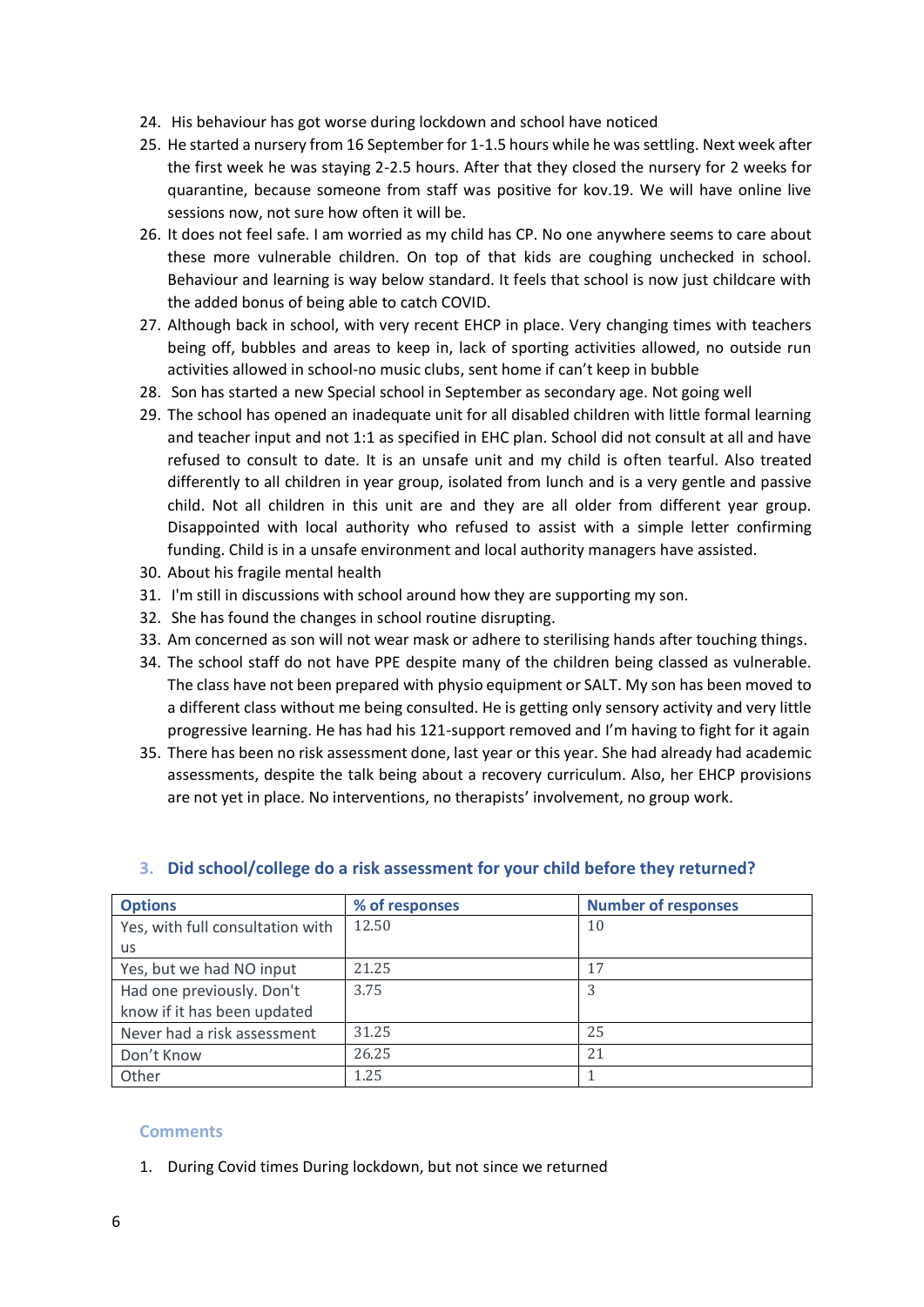- 24. His behaviour has got worse during lockdown and school have noticed
- 25. He started a nursery from 16 September for 1-1.5 hours while he was settling. Next week after the first week he was staying 2-2.5 hours. After that they closed the nursery for 2 weeks for quarantine, because someone from staff was positive for kov.19. We will have online live sessions now, not sure how often it will be.
- 26. It does not feel safe. I am worried as my child has CP. No one anywhere seems to care about these more vulnerable children. On top of that kids are coughing unchecked in school. Behaviour and learning is way below standard. It feels that school is now just childcare with the added bonus of being able to catch COVID.
- 27. Although back in school, with very recent EHCP in place. Very changing times with teachers being off, bubbles and areas to keep in, lack of sporting activities allowed, no outside run activities allowed in school-no music clubs, sent home if can't keep in bubble
- 28. Son has started a new Special school in September as secondary age. Not going well
- 29. The school has opened an inadequate unit for all disabled children with little formal learning and teacher input and not 1:1 as specified in EHC plan. School did not consult at all and have refused to consult to date. It is an unsafe unit and my child is often tearful. Also treated differently to all children in year group, isolated from lunch and is a very gentle and passive child. Not all children in this unit are and they are all older from different year group. Disappointed with local authority who refused to assist with a simple letter confirming funding. Child is in a unsafe environment and local authority managers have assisted.
- 30. About his fragile mental health
- 31. I'm still in discussions with school around how they are supporting my son.
- 32. She has found the changes in school routine disrupting.
- 33. Am concerned as son will not wear mask or adhere to sterilising hands after touching things.
- 34. The school staff do not have PPE despite many of the children being classed as vulnerable. The class have not been prepared with physio equipment or SALT. My son has been moved to a different class without me being consulted. He is getting only sensory activity and very little progressive learning. He has had his 121-support removed and I'm having to fight for it again
- 35. There has been no risk assessment done, last year or this year. She had already had academic assessments, despite the talk being about a recovery curriculum. Also, her EHCP provisions are not yet in place. No interventions, no therapists' involvement, no group work.

| <b>Options</b>                   | % of responses | <b>Number of responses</b> |
|----------------------------------|----------------|----------------------------|
| Yes, with full consultation with | 12.50          | 10                         |
| <b>us</b>                        |                |                            |
| Yes, but we had NO input         | 21.25          | 17                         |
| Had one previously. Don't        | 3.75           |                            |
| know if it has been updated      |                |                            |
| Never had a risk assessment      | 31.25          | 25                         |
| Don't Know                       | 26.25          | 21                         |
| Other                            | 1.25           |                            |

#### **3. Did school/college do a risk assessment for your child before they returned?**

#### **Comments**

1. During Covid times During lockdown, but not since we returned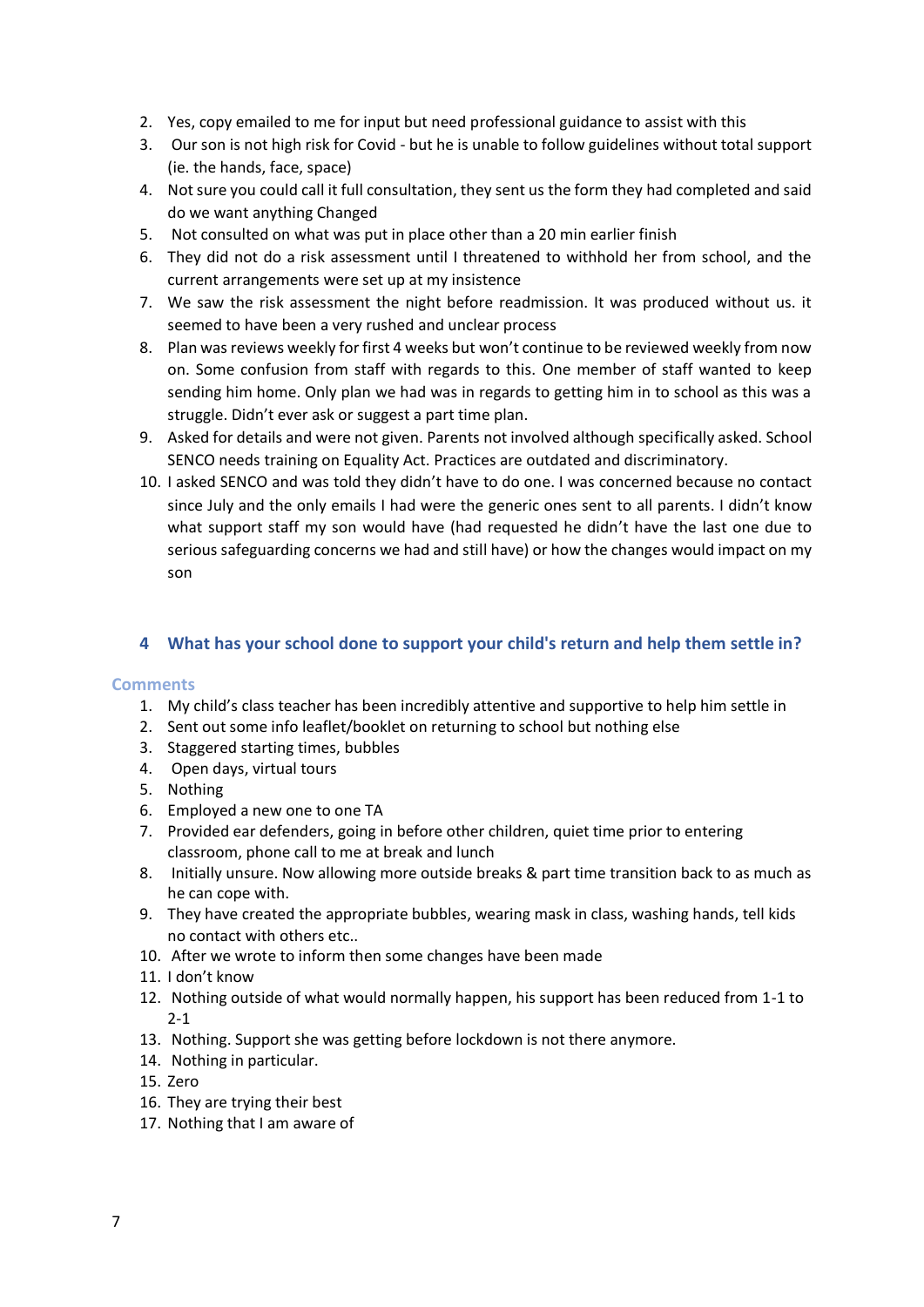- 2. Yes, copy emailed to me for input but need professional guidance to assist with this
- 3. Our son is not high risk for Covid but he is unable to follow guidelines without total support (ie. the hands, face, space)
- 4. Not sure you could call it full consultation, they sent us the form they had completed and said do we want anything Changed
- 5. Not consulted on what was put in place other than a 20 min earlier finish
- 6. They did not do a risk assessment until I threatened to withhold her from school, and the current arrangements were set up at my insistence
- 7. We saw the risk assessment the night before readmission. It was produced without us. it seemed to have been a very rushed and unclear process
- 8. Plan was reviews weekly for first 4 weeks but won't continue to be reviewed weekly from now on. Some confusion from staff with regards to this. One member of staff wanted to keep sending him home. Only plan we had was in regards to getting him in to school as this was a struggle. Didn't ever ask or suggest a part time plan.
- 9. Asked for details and were not given. Parents not involved although specifically asked. School SENCO needs training on Equality Act. Practices are outdated and discriminatory.
- 10. I asked SENCO and was told they didn't have to do one. I was concerned because no contact since July and the only emails I had were the generic ones sent to all parents. I didn't know what support staff my son would have (had requested he didn't have the last one due to serious safeguarding concerns we had and still have) or how the changes would impact on my son

#### **4 What has your school done to support your child's return and help them settle in?**

- 1. My child's class teacher has been incredibly attentive and supportive to help him settle in
- 2. Sent out some info leaflet/booklet on returning to school but nothing else
- 3. Staggered starting times, bubbles
- 4. Open days, virtual tours
- 5. Nothing
- 6. Employed a new one to one TA
- 7. Provided ear defenders, going in before other children, quiet time prior to entering classroom, phone call to me at break and lunch
- 8. Initially unsure. Now allowing more outside breaks & part time transition back to as much as he can cope with.
- 9. They have created the appropriate bubbles, wearing mask in class, washing hands, tell kids no contact with others etc..
- 10. After we wrote to inform then some changes have been made
- 11. I don't know
- 12. Nothing outside of what would normally happen, his support has been reduced from 1-1 to 2-1
- 13. Nothing. Support she was getting before lockdown is not there anymore.
- 14. Nothing in particular.
- 15. Zero
- 16. They are trying their best
- 17. Nothing that I am aware of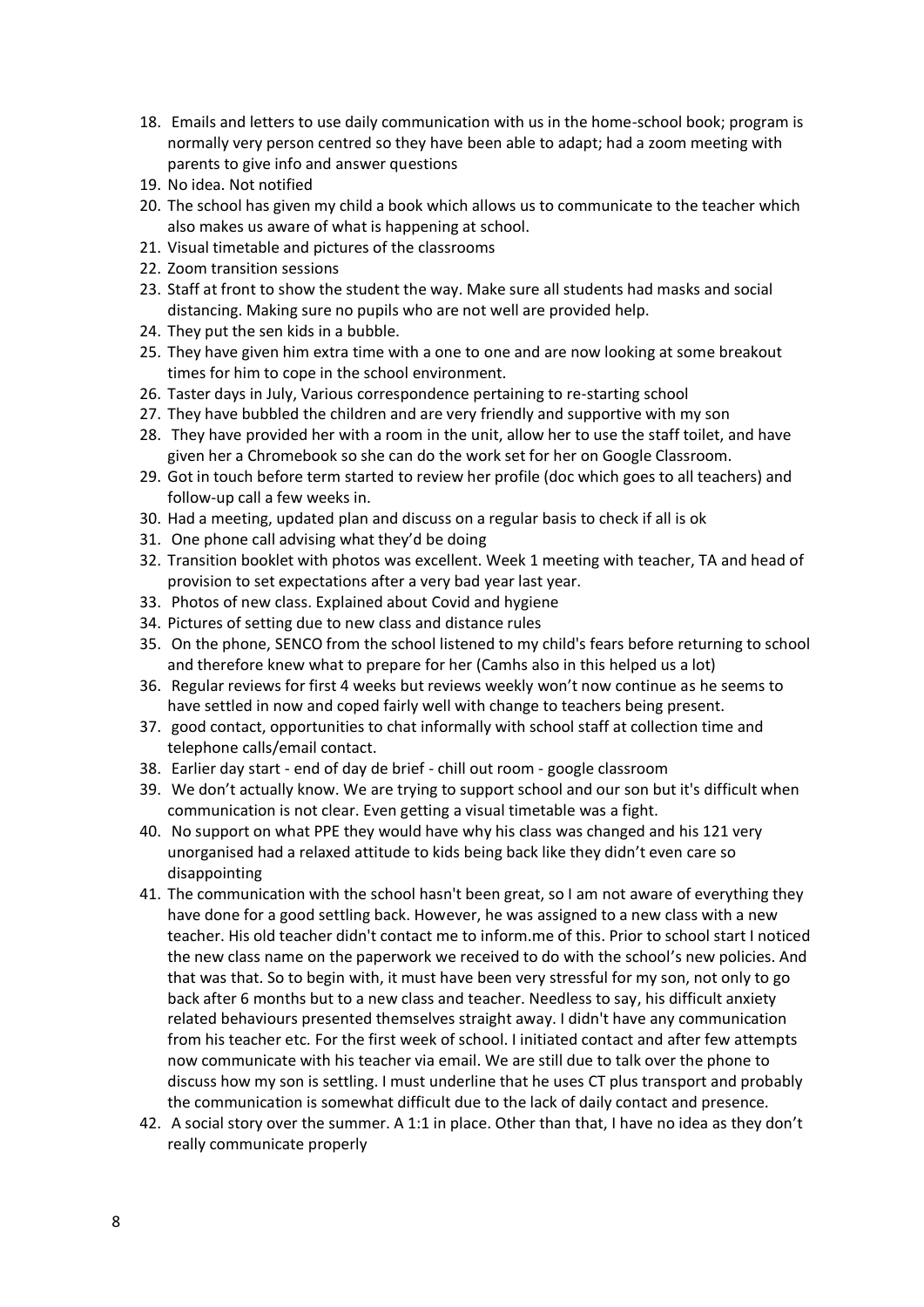- 18. Emails and letters to use daily communication with us in the home-school book; program is normally very person centred so they have been able to adapt; had a zoom meeting with parents to give info and answer questions
- 19. No idea. Not notified
- 20. The school has given my child a book which allows us to communicate to the teacher which also makes us aware of what is happening at school.
- 21. Visual timetable and pictures of the classrooms
- 22. Zoom transition sessions
- 23. Staff at front to show the student the way. Make sure all students had masks and social distancing. Making sure no pupils who are not well are provided help.
- 24. They put the sen kids in a bubble.
- 25. They have given him extra time with a one to one and are now looking at some breakout times for him to cope in the school environment.
- 26. Taster days in July, Various correspondence pertaining to re-starting school
- 27. They have bubbled the children and are very friendly and supportive with my son
- 28. They have provided her with a room in the unit, allow her to use the staff toilet, and have given her a Chromebook so she can do the work set for her on Google Classroom.
- 29. Got in touch before term started to review her profile (doc which goes to all teachers) and follow-up call a few weeks in.
- 30. Had a meeting, updated plan and discuss on a regular basis to check if all is ok
- 31. One phone call advising what they'd be doing
- 32. Transition booklet with photos was excellent. Week 1 meeting with teacher, TA and head of provision to set expectations after a very bad year last year.
- 33. Photos of new class. Explained about Covid and hygiene
- 34. Pictures of setting due to new class and distance rules
- 35. On the phone, SENCO from the school listened to my child's fears before returning to school and therefore knew what to prepare for her (Camhs also in this helped us a lot)
- 36. Regular reviews for first 4 weeks but reviews weekly won't now continue as he seems to have settled in now and coped fairly well with change to teachers being present.
- 37. good contact, opportunities to chat informally with school staff at collection time and telephone calls/email contact.
- 38. Earlier day start end of day de brief chill out room google classroom
- 39. We don't actually know. We are trying to support school and our son but it's difficult when communication is not clear. Even getting a visual timetable was a fight.
- 40. No support on what PPE they would have why his class was changed and his 121 very unorganised had a relaxed attitude to kids being back like they didn't even care so disappointing
- 41. The communication with the school hasn't been great, so I am not aware of everything they have done for a good settling back. However, he was assigned to a new class with a new teacher. His old teacher didn't contact me to inform.me of this. Prior to school start I noticed the new class name on the paperwork we received to do with the school's new policies. And that was that. So to begin with, it must have been very stressful for my son, not only to go back after 6 months but to a new class and teacher. Needless to say, his difficult anxiety related behaviours presented themselves straight away. I didn't have any communication from his teacher etc. For the first week of school. I initiated contact and after few attempts now communicate with his teacher via email. We are still due to talk over the phone to discuss how my son is settling. I must underline that he uses CT plus transport and probably the communication is somewhat difficult due to the lack of daily contact and presence.
- 42. A social story over the summer. A 1:1 in place. Other than that, I have no idea as they don't really communicate properly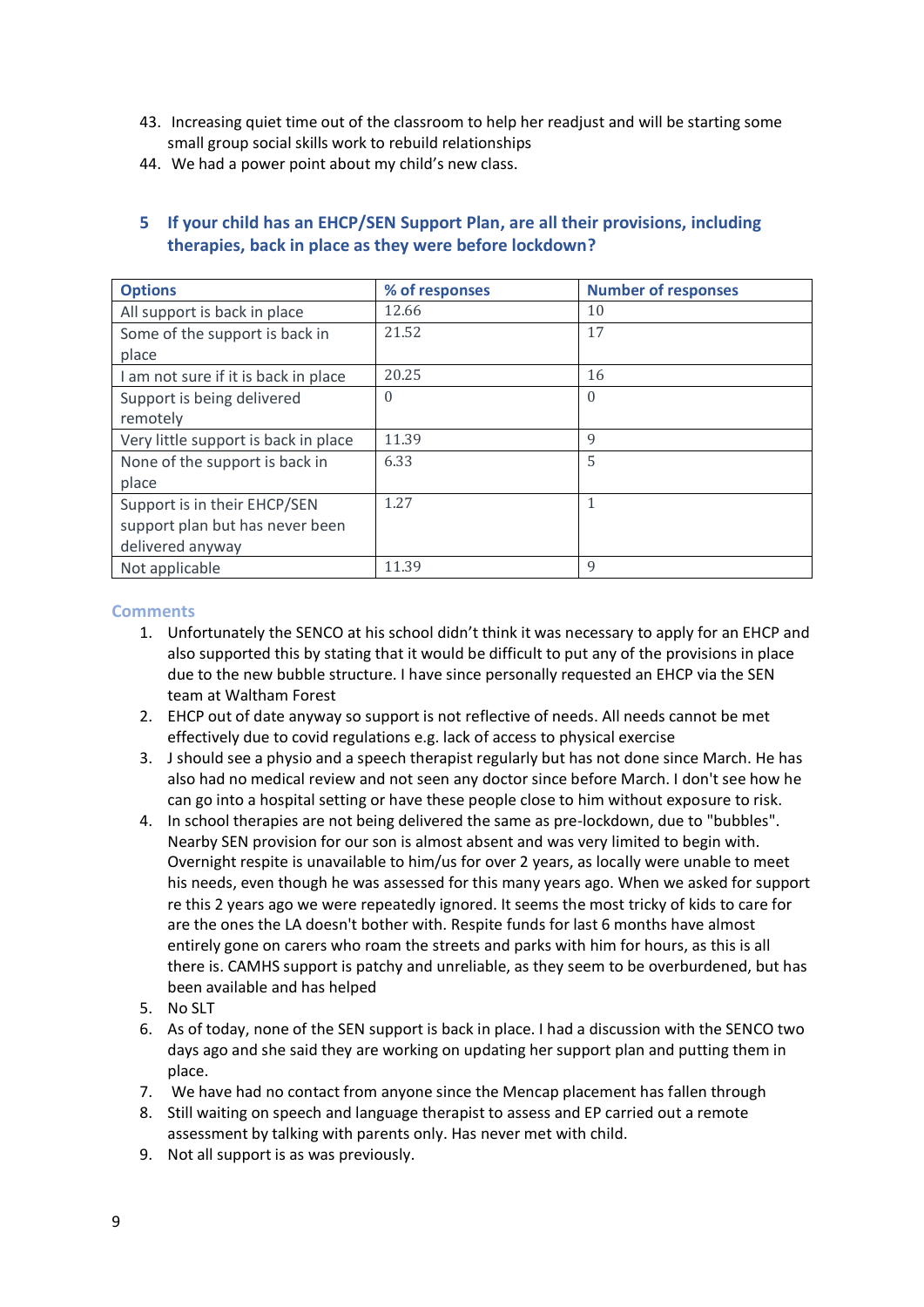- 43. Increasing quiet time out of the classroom to help her readjust and will be starting some small group social skills work to rebuild relationships
- 44. We had a power point about my child's new class.

| <b>Options</b>                       | % of responses | <b>Number of responses</b> |
|--------------------------------------|----------------|----------------------------|
| All support is back in place         | 12.66          | 10                         |
| Some of the support is back in       | 21.52          | 17                         |
| place                                |                |                            |
| I am not sure if it is back in place | 20.25          | 16                         |
| Support is being delivered           | $\Omega$       | $\Omega$                   |
| remotely                             |                |                            |
| Very little support is back in place | 11.39          | $\mathbf Q$                |
| None of the support is back in       | 6.33           | 5                          |
| place                                |                |                            |
| Support is in their EHCP/SEN         | 1.27           |                            |
| support plan but has never been      |                |                            |
| delivered anyway                     |                |                            |
| Not applicable                       | 11.39          | 9                          |

# **5 If your child has an EHCP/SEN Support Plan, are all their provisions, including therapies, back in place as they were before lockdown?**

- 1. Unfortunately the SENCO at his school didn't think it was necessary to apply for an EHCP and also supported this by stating that it would be difficult to put any of the provisions in place due to the new bubble structure. I have since personally requested an EHCP via the SEN team at Waltham Forest
- 2. EHCP out of date anyway so support is not reflective of needs. All needs cannot be met effectively due to covid regulations e.g. lack of access to physical exercise
- 3. J should see a physio and a speech therapist regularly but has not done since March. He has also had no medical review and not seen any doctor since before March. I don't see how he can go into a hospital setting or have these people close to him without exposure to risk.
- 4. In school therapies are not being delivered the same as pre-lockdown, due to "bubbles". Nearby SEN provision for our son is almost absent and was very limited to begin with. Overnight respite is unavailable to him/us for over 2 years, as locally were unable to meet his needs, even though he was assessed for this many years ago. When we asked for support re this 2 years ago we were repeatedly ignored. It seems the most tricky of kids to care for are the ones the LA doesn't bother with. Respite funds for last 6 months have almost entirely gone on carers who roam the streets and parks with him for hours, as this is all there is. CAMHS support is patchy and unreliable, as they seem to be overburdened, but has been available and has helped
- 5. No SLT
- 6. As of today, none of the SEN support is back in place. I had a discussion with the SENCO two days ago and she said they are working on updating her support plan and putting them in place.
- 7. We have had no contact from anyone since the Mencap placement has fallen through
- 8. Still waiting on speech and language therapist to assess and EP carried out a remote assessment by talking with parents only. Has never met with child.
- 9. Not all support is as was previously.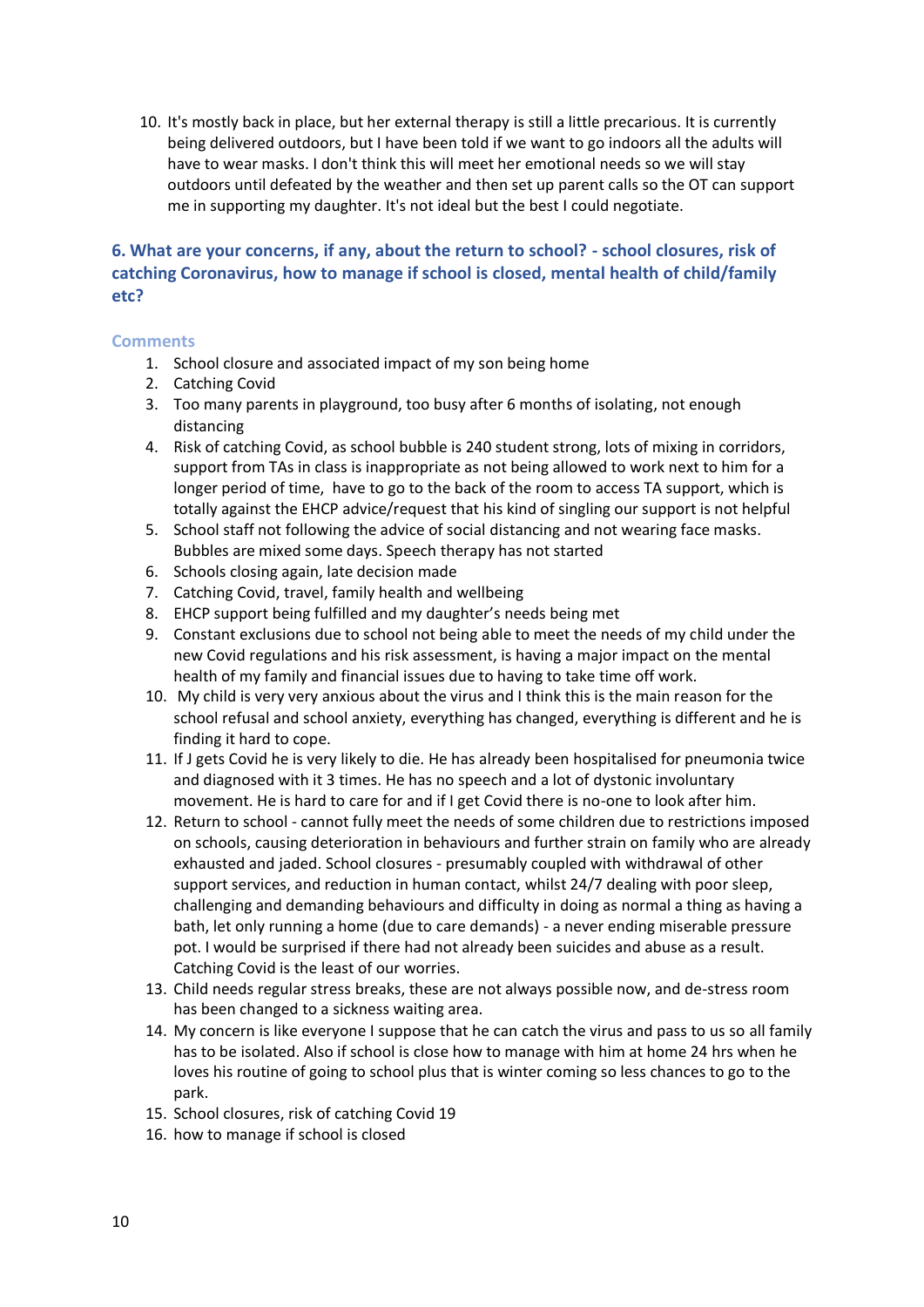10. It's mostly back in place, but her external therapy is still a little precarious. It is currently being delivered outdoors, but I have been told if we want to go indoors all the adults will have to wear masks. I don't think this will meet her emotional needs so we will stay outdoors until defeated by the weather and then set up parent calls so the OT can support me in supporting my daughter. It's not ideal but the best I could negotiate.

## **6. What are your concerns, if any, about the return to school? - school closures, risk of catching Coronavirus, how to manage if school is closed, mental health of child/family etc?**

- 1. School closure and associated impact of my son being home
- 2. Catching Covid
- 3. Too many parents in playground, too busy after 6 months of isolating, not enough distancing
- 4. Risk of catching Covid, as school bubble is 240 student strong, lots of mixing in corridors, support from TAs in class is inappropriate as not being allowed to work next to him for a longer period of time, have to go to the back of the room to access TA support, which is totally against the EHCP advice/request that his kind of singling our support is not helpful
- 5. School staff not following the advice of social distancing and not wearing face masks. Bubbles are mixed some days. Speech therapy has not started
- 6. Schools closing again, late decision made
- 7. Catching Covid, travel, family health and wellbeing
- 8. EHCP support being fulfilled and my daughter's needs being met
- 9. Constant exclusions due to school not being able to meet the needs of my child under the new Covid regulations and his risk assessment, is having a major impact on the mental health of my family and financial issues due to having to take time off work.
- 10. My child is very very anxious about the virus and I think this is the main reason for the school refusal and school anxiety, everything has changed, everything is different and he is finding it hard to cope.
- 11. If J gets Covid he is very likely to die. He has already been hospitalised for pneumonia twice and diagnosed with it 3 times. He has no speech and a lot of dystonic involuntary movement. He is hard to care for and if I get Covid there is no-one to look after him.
- 12. Return to school cannot fully meet the needs of some children due to restrictions imposed on schools, causing deterioration in behaviours and further strain on family who are already exhausted and jaded. School closures - presumably coupled with withdrawal of other support services, and reduction in human contact, whilst 24/7 dealing with poor sleep, challenging and demanding behaviours and difficulty in doing as normal a thing as having a bath, let only running a home (due to care demands) - a never ending miserable pressure pot. I would be surprised if there had not already been suicides and abuse as a result. Catching Covid is the least of our worries.
- 13. Child needs regular stress breaks, these are not always possible now, and de-stress room has been changed to a sickness waiting area.
- 14. My concern is like everyone I suppose that he can catch the virus and pass to us so all family has to be isolated. Also if school is close how to manage with him at home 24 hrs when he loves his routine of going to school plus that is winter coming so less chances to go to the park.
- 15. School closures, risk of catching Covid 19
- 16. how to manage if school is closed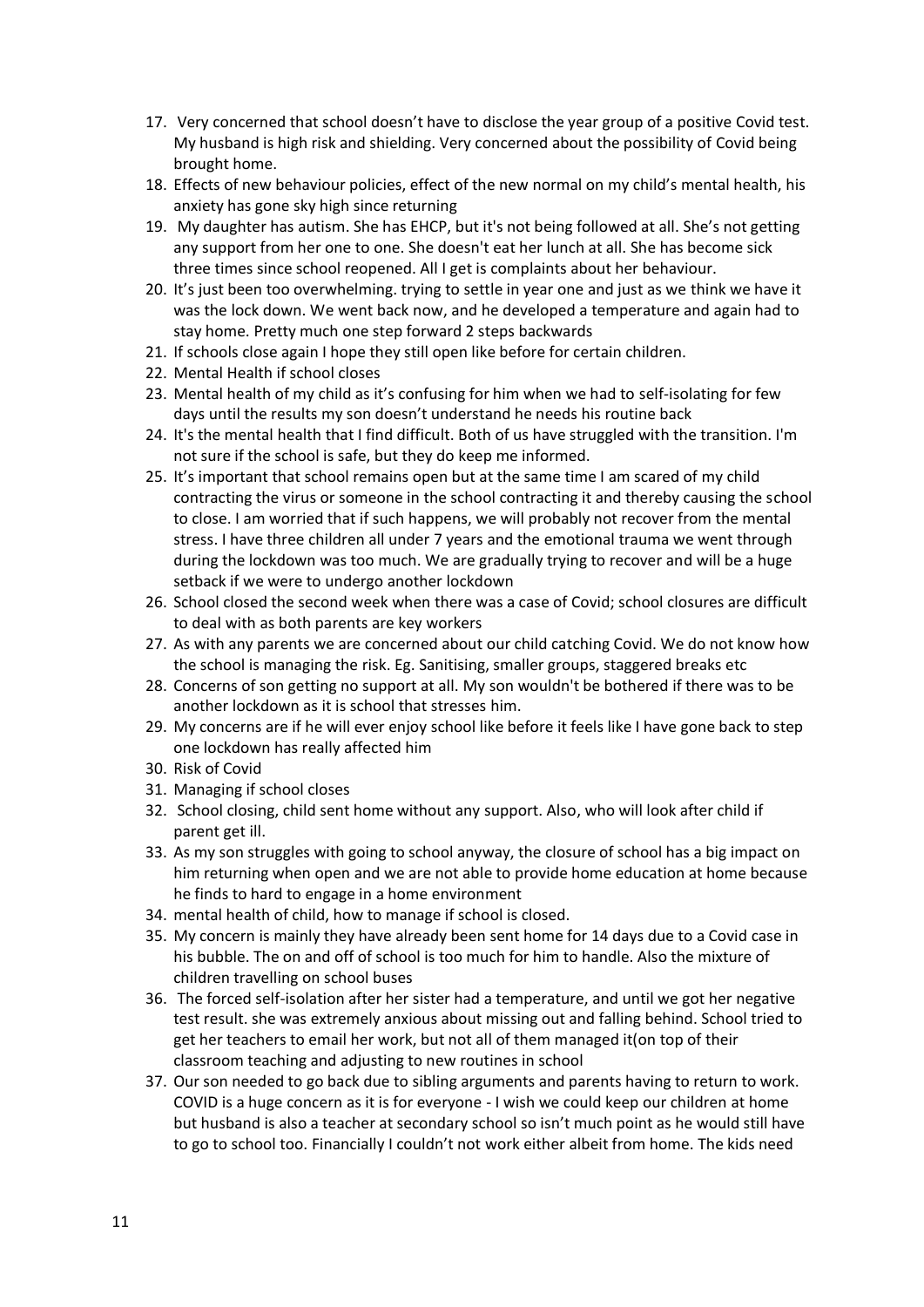- 17. Very concerned that school doesn't have to disclose the year group of a positive Covid test. My husband is high risk and shielding. Very concerned about the possibility of Covid being brought home.
- 18. Effects of new behaviour policies, effect of the new normal on my child's mental health, his anxiety has gone sky high since returning
- 19. My daughter has autism. She has EHCP, but it's not being followed at all. She's not getting any support from her one to one. She doesn't eat her lunch at all. She has become sick three times since school reopened. All I get is complaints about her behaviour.
- 20. It's just been too overwhelming. trying to settle in year one and just as we think we have it was the lock down. We went back now, and he developed a temperature and again had to stay home. Pretty much one step forward 2 steps backwards
- 21. If schools close again I hope they still open like before for certain children.
- 22. Mental Health if school closes
- 23. Mental health of my child as it's confusing for him when we had to self-isolating for few days until the results my son doesn't understand he needs his routine back
- 24. It's the mental health that I find difficult. Both of us have struggled with the transition. I'm not sure if the school is safe, but they do keep me informed.
- 25. It's important that school remains open but at the same time I am scared of my child contracting the virus or someone in the school contracting it and thereby causing the school to close. I am worried that if such happens, we will probably not recover from the mental stress. I have three children all under 7 years and the emotional trauma we went through during the lockdown was too much. We are gradually trying to recover and will be a huge setback if we were to undergo another lockdown
- 26. School closed the second week when there was a case of Covid; school closures are difficult to deal with as both parents are key workers
- 27. As with any parents we are concerned about our child catching Covid. We do not know how the school is managing the risk. Eg. Sanitising, smaller groups, staggered breaks etc
- 28. Concerns of son getting no support at all. My son wouldn't be bothered if there was to be another lockdown as it is school that stresses him.
- 29. My concerns are if he will ever enjoy school like before it feels like I have gone back to step one lockdown has really affected him
- 30. Risk of Covid
- 31. Managing if school closes
- 32. School closing, child sent home without any support. Also, who will look after child if parent get ill.
- 33. As my son struggles with going to school anyway, the closure of school has a big impact on him returning when open and we are not able to provide home education at home because he finds to hard to engage in a home environment
- 34. mental health of child, how to manage if school is closed.
- 35. My concern is mainly they have already been sent home for 14 days due to a Covid case in his bubble. The on and off of school is too much for him to handle. Also the mixture of children travelling on school buses
- 36. The forced self-isolation after her sister had a temperature, and until we got her negative test result. she was extremely anxious about missing out and falling behind. School tried to get her teachers to email her work, but not all of them managed it(on top of their classroom teaching and adjusting to new routines in school
- 37. Our son needed to go back due to sibling arguments and parents having to return to work. COVID is a huge concern as it is for everyone - I wish we could keep our children at home but husband is also a teacher at secondary school so isn't much point as he would still have to go to school too. Financially I couldn't not work either albeit from home. The kids need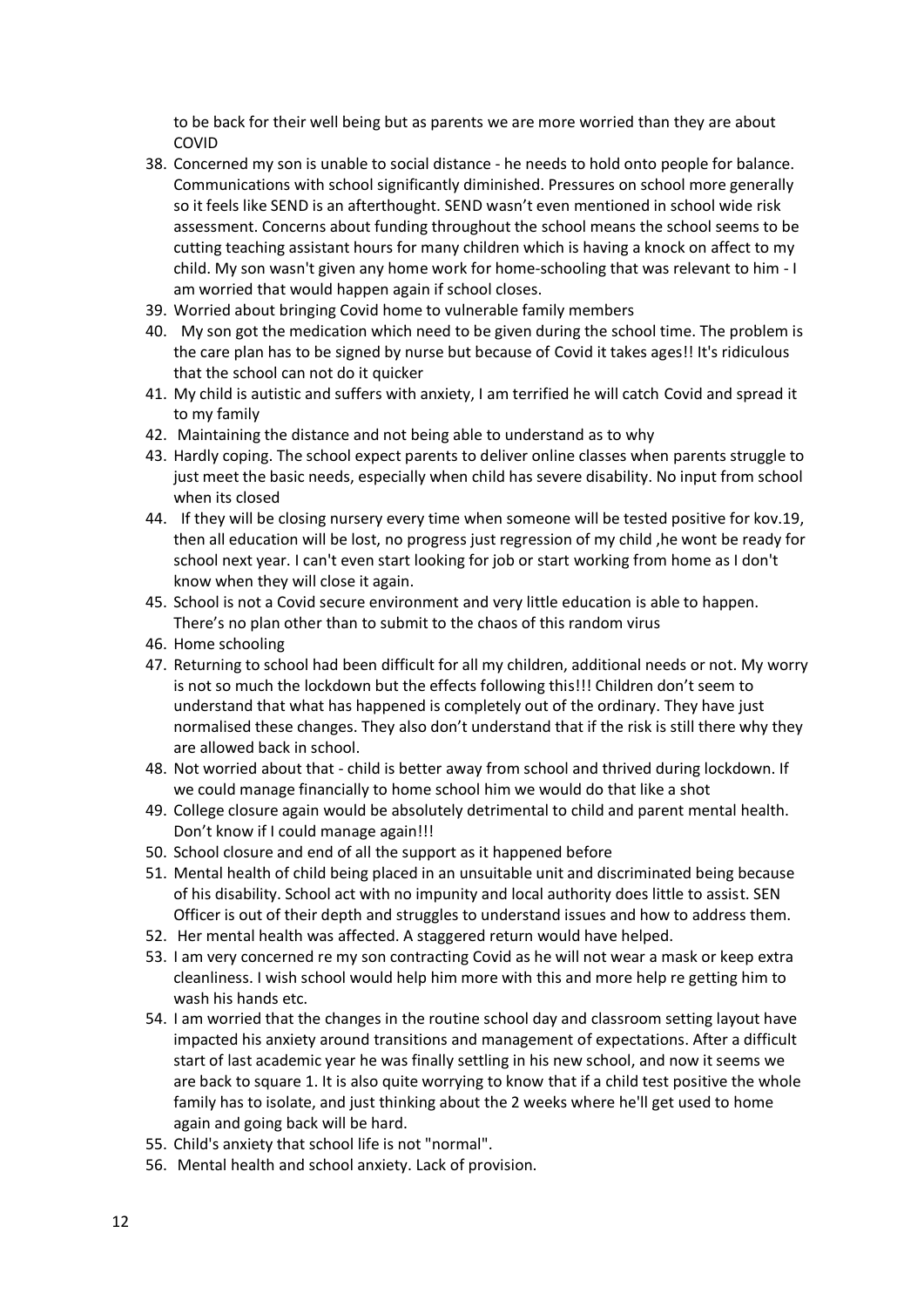to be back for their well being but as parents we are more worried than they are about COVID

- 38. Concerned my son is unable to social distance he needs to hold onto people for balance. Communications with school significantly diminished. Pressures on school more generally so it feels like SEND is an afterthought. SEND wasn't even mentioned in school wide risk assessment. Concerns about funding throughout the school means the school seems to be cutting teaching assistant hours for many children which is having a knock on affect to my child. My son wasn't given any home work for home-schooling that was relevant to him - I am worried that would happen again if school closes.
- 39. Worried about bringing Covid home to vulnerable family members
- 40. My son got the medication which need to be given during the school time. The problem is the care plan has to be signed by nurse but because of Covid it takes ages!! It's ridiculous that the school can not do it quicker
- 41. My child is autistic and suffers with anxiety, I am terrified he will catch Covid and spread it to my family
- 42. Maintaining the distance and not being able to understand as to why
- 43. Hardly coping. The school expect parents to deliver online classes when parents struggle to just meet the basic needs, especially when child has severe disability. No input from school when its closed
- 44. If they will be closing nursery every time when someone will be tested positive for kov.19, then all education will be lost, no progress just regression of my child ,he wont be ready for school next year. I can't even start looking for job or start working from home as I don't know when they will close it again.
- 45. School is not a Covid secure environment and very little education is able to happen. There's no plan other than to submit to the chaos of this random virus
- 46. Home schooling
- 47. Returning to school had been difficult for all my children, additional needs or not. My worry is not so much the lockdown but the effects following this!!! Children don't seem to understand that what has happened is completely out of the ordinary. They have just normalised these changes. They also don't understand that if the risk is still there why they are allowed back in school.
- 48. Not worried about that child is better away from school and thrived during lockdown. If we could manage financially to home school him we would do that like a shot
- 49. College closure again would be absolutely detrimental to child and parent mental health. Don't know if I could manage again!!!
- 50. School closure and end of all the support as it happened before
- 51. Mental health of child being placed in an unsuitable unit and discriminated being because of his disability. School act with no impunity and local authority does little to assist. SEN Officer is out of their depth and struggles to understand issues and how to address them.
- 52. Her mental health was affected. A staggered return would have helped.
- 53. I am very concerned re my son contracting Covid as he will not wear a mask or keep extra cleanliness. I wish school would help him more with this and more help re getting him to wash his hands etc.
- 54. I am worried that the changes in the routine school day and classroom setting layout have impacted his anxiety around transitions and management of expectations. After a difficult start of last academic year he was finally settling in his new school, and now it seems we are back to square 1. It is also quite worrying to know that if a child test positive the whole family has to isolate, and just thinking about the 2 weeks where he'll get used to home again and going back will be hard.
- 55. Child's anxiety that school life is not "normal".
- 56. Mental health and school anxiety. Lack of provision.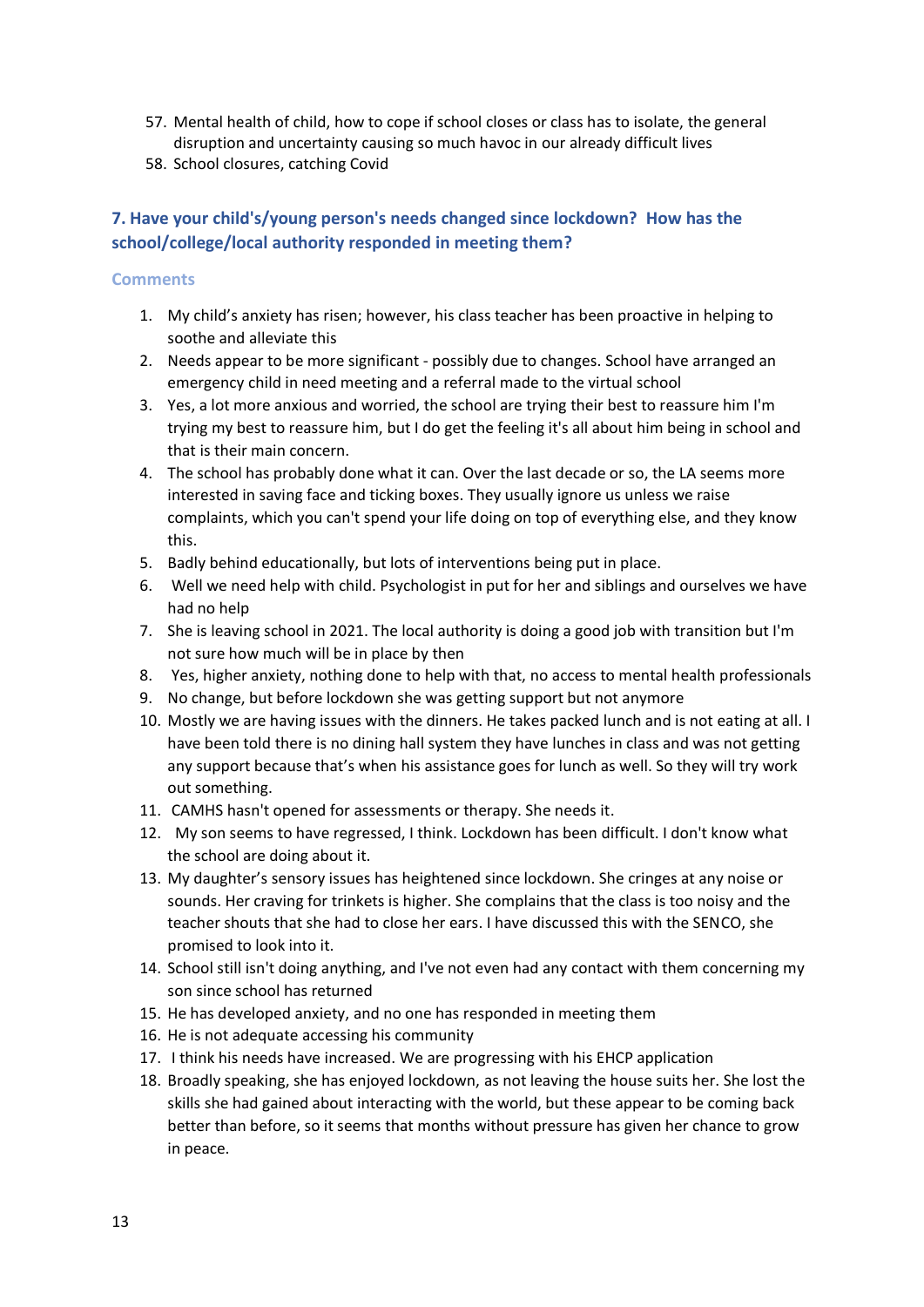- 57. Mental health of child, how to cope if school closes or class has to isolate, the general disruption and uncertainty causing so much havoc in our already difficult lives
- 58. School closures, catching Covid

# **7. Have your child's/young person's needs changed since lockdown? How has the school/college/local authority responded in meeting them?**

- 1. My child's anxiety has risen; however, his class teacher has been proactive in helping to soothe and alleviate this
- 2. Needs appear to be more significant possibly due to changes. School have arranged an emergency child in need meeting and a referral made to the virtual school
- 3. Yes, a lot more anxious and worried, the school are trying their best to reassure him I'm trying my best to reassure him, but I do get the feeling it's all about him being in school and that is their main concern.
- 4. The school has probably done what it can. Over the last decade or so, the LA seems more interested in saving face and ticking boxes. They usually ignore us unless we raise complaints, which you can't spend your life doing on top of everything else, and they know this.
- 5. Badly behind educationally, but lots of interventions being put in place.
- 6. Well we need help with child. Psychologist in put for her and siblings and ourselves we have had no help
- 7. She is leaving school in 2021. The local authority is doing a good job with transition but I'm not sure how much will be in place by then
- 8. Yes, higher anxiety, nothing done to help with that, no access to mental health professionals
- 9. No change, but before lockdown she was getting support but not anymore
- 10. Mostly we are having issues with the dinners. He takes packed lunch and is not eating at all. I have been told there is no dining hall system they have lunches in class and was not getting any support because that's when his assistance goes for lunch as well. So they will try work out something.
- 11. CAMHS hasn't opened for assessments or therapy. She needs it.
- 12. My son seems to have regressed, I think. Lockdown has been difficult. I don't know what the school are doing about it.
- 13. My daughter's sensory issues has heightened since lockdown. She cringes at any noise or sounds. Her craving for trinkets is higher. She complains that the class is too noisy and the teacher shouts that she had to close her ears. I have discussed this with the SENCO, she promised to look into it.
- 14. School still isn't doing anything, and I've not even had any contact with them concerning my son since school has returned
- 15. He has developed anxiety, and no one has responded in meeting them
- 16. He is not adequate accessing his community
- 17. I think his needs have increased. We are progressing with his EHCP application
- 18. Broadly speaking, she has enjoyed lockdown, as not leaving the house suits her. She lost the skills she had gained about interacting with the world, but these appear to be coming back better than before, so it seems that months without pressure has given her chance to grow in peace.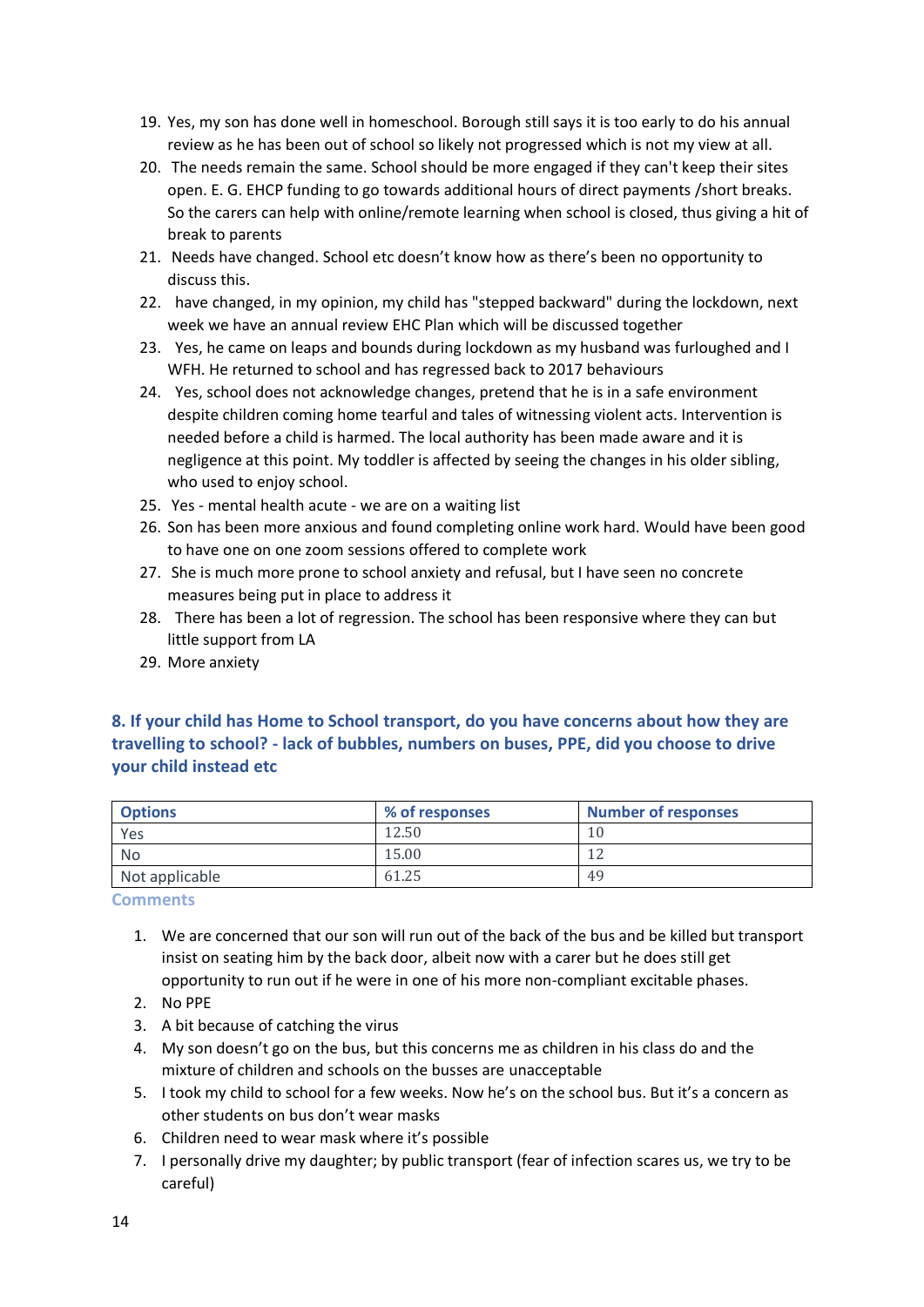- 19. Yes, my son has done well in homeschool. Borough still says it is too early to do his annual review as he has been out of school so likely not progressed which is not my view at all.
- 20. The needs remain the same. School should be more engaged if they can't keep their sites open. E. G. EHCP funding to go towards additional hours of direct payments /short breaks. So the carers can help with online/remote learning when school is closed, thus giving a hit of break to parents
- 21. Needs have changed. School etc doesn't know how as there's been no opportunity to discuss this.
- 22. have changed, in my opinion, my child has "stepped backward" during the lockdown, next week we have an annual review EHC Plan which will be discussed together
- 23. Yes, he came on leaps and bounds during lockdown as my husband was furloughed and I WFH. He returned to school and has regressed back to 2017 behaviours
- 24. Yes, school does not acknowledge changes, pretend that he is in a safe environment despite children coming home tearful and tales of witnessing violent acts. Intervention is needed before a child is harmed. The local authority has been made aware and it is negligence at this point. My toddler is affected by seeing the changes in his older sibling, who used to enjoy school.
- 25. Yes mental health acute we are on a waiting list
- 26. Son has been more anxious and found completing online work hard. Would have been good to have one on one zoom sessions offered to complete work
- 27. She is much more prone to school anxiety and refusal, but I have seen no concrete measures being put in place to address it
- 28. There has been a lot of regression. The school has been responsive where they can but little support from LA
- 29. More anxiety

### **8. If your child has Home to School transport, do you have concerns about how they are travelling to school? - lack of bubbles, numbers on buses, PPE, did you choose to drive your child instead etc**

| <b>Options</b> | % of responses | <b>Number of responses</b> |
|----------------|----------------|----------------------------|
| Yes            | 12.50          | 10                         |
| No             | 15.00          | ∼                          |
| Not applicable | 61.25          | 49                         |

- 1. We are concerned that our son will run out of the back of the bus and be killed but transport insist on seating him by the back door, albeit now with a carer but he does still get opportunity to run out if he were in one of his more non-compliant excitable phases.
- 2. No PPE
- 3. A bit because of catching the virus
- 4. My son doesn't go on the bus, but this concerns me as children in his class do and the mixture of children and schools on the busses are unacceptable
- 5. I took my child to school for a few weeks. Now he's on the school bus. But it's a concern as other students on bus don't wear masks
- 6. Children need to wear mask where it's possible
- 7. I personally drive my daughter; by public transport (fear of infection scares us, we try to be careful)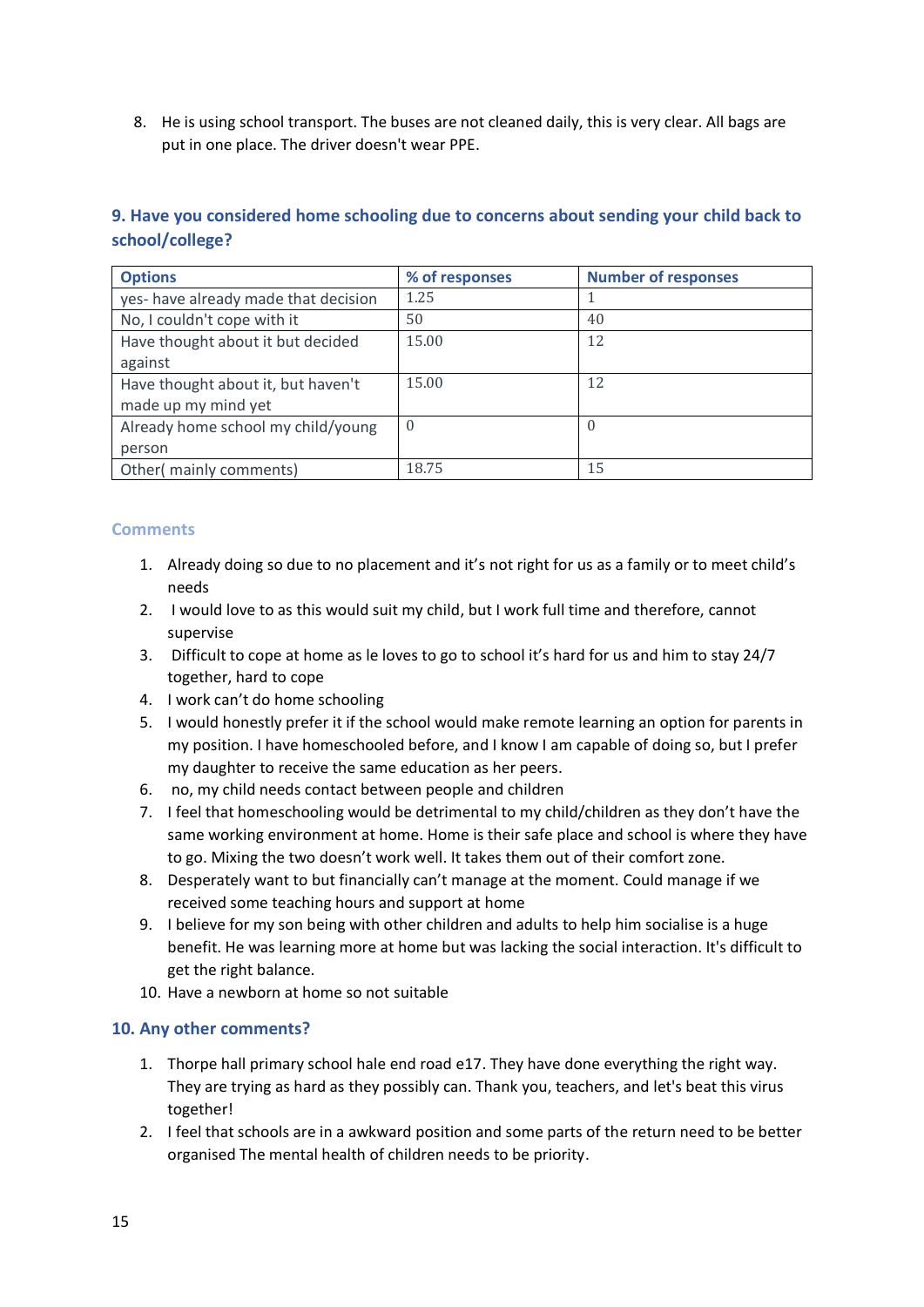8. He is using school transport. The buses are not cleaned daily, this is very clear. All bags are put in one place. The driver doesn't wear PPE.

## **9. Have you considered home schooling due to concerns about sending your child back to school/college?**

| <b>Options</b>                       | % of responses | <b>Number of responses</b> |
|--------------------------------------|----------------|----------------------------|
| yes- have already made that decision | 1.25           |                            |
| No, I couldn't cope with it          | 50             | 40                         |
| Have thought about it but decided    | 15.00          | 12                         |
| against                              |                |                            |
| Have thought about it, but haven't   | 15.00          | 12                         |
| made up my mind yet                  |                |                            |
| Already home school my child/young   | $\Omega$       | $\Omega$                   |
| person                               |                |                            |
| Other(mainly comments)               | 18.75          | 15                         |

### **Comments**

- 1. Already doing so due to no placement and it's not right for us as a family or to meet child's needs
- 2. I would love to as this would suit my child, but I work full time and therefore, cannot supervise
- 3. Difficult to cope at home as le loves to go to school it's hard for us and him to stay 24/7 together, hard to cope
- 4. I work can't do home schooling
- 5. I would honestly prefer it if the school would make remote learning an option for parents in my position. I have homeschooled before, and I know I am capable of doing so, but I prefer my daughter to receive the same education as her peers.
- 6. no, my child needs contact between people and children
- 7. I feel that homeschooling would be detrimental to my child/children as they don't have the same working environment at home. Home is their safe place and school is where they have to go. Mixing the two doesn't work well. It takes them out of their comfort zone.
- 8. Desperately want to but financially can't manage at the moment. Could manage if we received some teaching hours and support at home
- 9. I believe for my son being with other children and adults to help him socialise is a huge benefit. He was learning more at home but was lacking the social interaction. It's difficult to get the right balance.
- 10. Have a newborn at home so not suitable

#### **10. Any other comments?**

- 1. Thorpe hall primary school hale end road e17. They have done everything the right way. They are trying as hard as they possibly can. Thank you, teachers, and let's beat this virus together!
- 2. I feel that schools are in a awkward position and some parts of the return need to be better organised The mental health of children needs to be priority.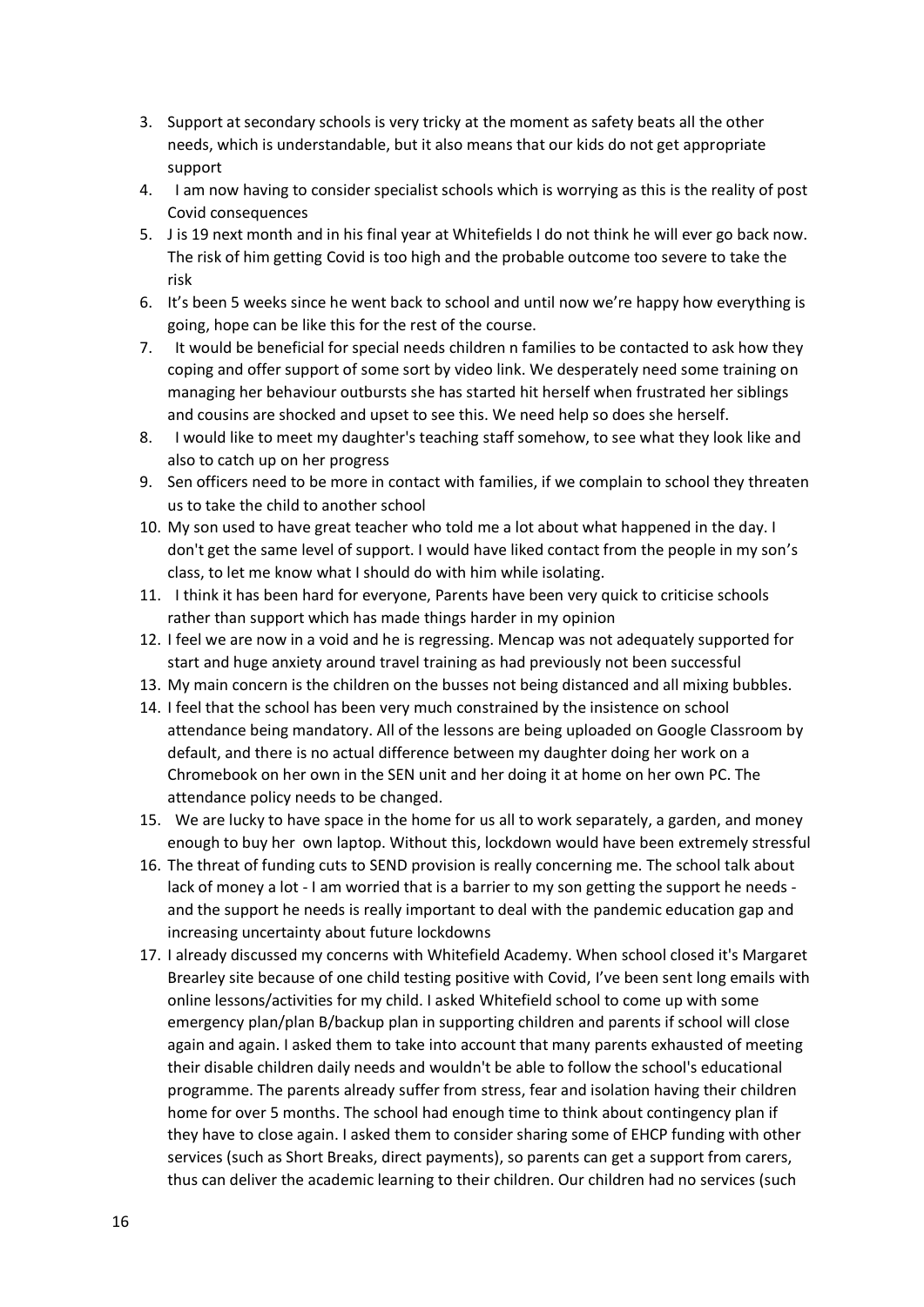- 3. Support at secondary schools is very tricky at the moment as safety beats all the other needs, which is understandable, but it also means that our kids do not get appropriate support
- 4. I am now having to consider specialist schools which is worrying as this is the reality of post Covid consequences
- 5. J is 19 next month and in his final year at Whitefields I do not think he will ever go back now. The risk of him getting Covid is too high and the probable outcome too severe to take the risk
- 6. It's been 5 weeks since he went back to school and until now we're happy how everything is going, hope can be like this for the rest of the course.
- 7. It would be beneficial for special needs children n families to be contacted to ask how they coping and offer support of some sort by video link. We desperately need some training on managing her behaviour outbursts she has started hit herself when frustrated her siblings and cousins are shocked and upset to see this. We need help so does she herself.
- 8. I would like to meet my daughter's teaching staff somehow, to see what they look like and also to catch up on her progress
- 9. Sen officers need to be more in contact with families, if we complain to school they threaten us to take the child to another school
- 10. My son used to have great teacher who told me a lot about what happened in the day. I don't get the same level of support. I would have liked contact from the people in my son's class, to let me know what I should do with him while isolating.
- 11. I think it has been hard for everyone, Parents have been very quick to criticise schools rather than support which has made things harder in my opinion
- 12. I feel we are now in a void and he is regressing. Mencap was not adequately supported for start and huge anxiety around travel training as had previously not been successful
- 13. My main concern is the children on the busses not being distanced and all mixing bubbles.
- 14. I feel that the school has been very much constrained by the insistence on school attendance being mandatory. All of the lessons are being uploaded on Google Classroom by default, and there is no actual difference between my daughter doing her work on a Chromebook on her own in the SEN unit and her doing it at home on her own PC. The attendance policy needs to be changed.
- 15. We are lucky to have space in the home for us all to work separately, a garden, and money enough to buy her own laptop. Without this, lockdown would have been extremely stressful
- 16. The threat of funding cuts to SEND provision is really concerning me. The school talk about lack of money a lot - I am worried that is a barrier to my son getting the support he needs and the support he needs is really important to deal with the pandemic education gap and increasing uncertainty about future lockdowns
- 17. I already discussed my concerns with Whitefield Academy. When school closed it's Margaret Brearley site because of one child testing positive with Covid, I've been sent long emails with online lessons/activities for my child. I asked Whitefield school to come up with some emergency plan/plan B/backup plan in supporting children and parents if school will close again and again. I asked them to take into account that many parents exhausted of meeting their disable children daily needs and wouldn't be able to follow the school's educational programme. The parents already suffer from stress, fear and isolation having their children home for over 5 months. The school had enough time to think about contingency plan if they have to close again. I asked them to consider sharing some of EHCP funding with other services (such as Short Breaks, direct payments), so parents can get a support from carers, thus can deliver the academic learning to their children. Our children had no services (such